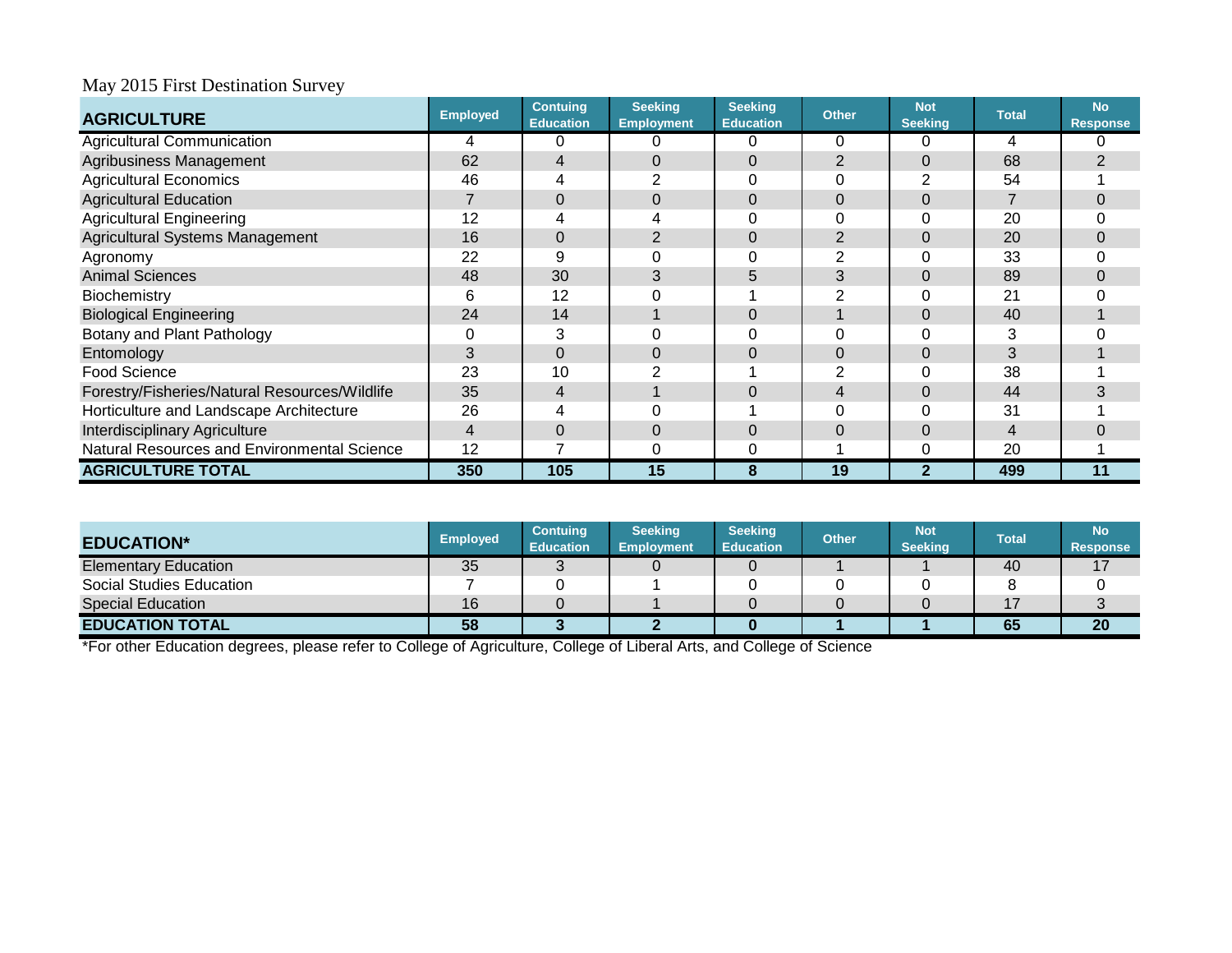| <b>AGRICULTURE</b>                            | <b>Employed</b> | <b>Contuing</b><br><b>Education</b> | <b>Seeking</b><br><b>Employment</b> | <b>Seeking</b><br><b>Education</b> | <b>Other</b> | <b>Not</b><br><b>Seeking</b> | <b>Total</b> | <b>No</b><br><b>Response</b> |
|-----------------------------------------------|-----------------|-------------------------------------|-------------------------------------|------------------------------------|--------------|------------------------------|--------------|------------------------------|
| <b>Agricultural Communication</b>             | 4               |                                     | 0                                   |                                    | 0            | C                            | 4            |                              |
| Agribusiness Management                       | 62              |                                     | 0                                   | 0                                  |              | 0                            | 68           |                              |
| <b>Agricultural Economics</b>                 | 46              |                                     | $\overline{2}$                      |                                    |              |                              | 54           |                              |
| <b>Agricultural Education</b>                 |                 |                                     | 0                                   | 0                                  | 0            | 0                            |              |                              |
| <b>Agricultural Engineering</b>               | 12              |                                     |                                     |                                    |              |                              | 20           |                              |
| Agricultural Systems Management               | 16              |                                     | 2                                   |                                    | 2            | 0                            | 20           |                              |
| Agronomy                                      | 22              | 9                                   | 0                                   |                                    |              |                              | 33           |                              |
| <b>Animal Sciences</b>                        | 48              | 30                                  | 3                                   | 5                                  | 3            | 0                            | 89           |                              |
| Biochemistry                                  | 6               | 12                                  | 0                                   |                                    |              |                              | 21           |                              |
| <b>Biological Engineering</b>                 | 24              | 14                                  |                                     | $\Omega$                           |              | $\Omega$                     | 40           |                              |
| Botany and Plant Pathology                    | 0               | 3                                   |                                     |                                    |              |                              | 3            |                              |
| Entomology                                    | 3               |                                     | $\overline{0}$                      |                                    |              | 0                            |              |                              |
| <b>Food Science</b>                           | 23              | 10                                  |                                     |                                    |              |                              | 38           |                              |
| Forestry/Fisheries/Natural Resources/Wildlife | 35              | 4                                   |                                     |                                    |              | 0                            | 44           | 3                            |
| Horticulture and Landscape Architecture       | 26              |                                     |                                     |                                    |              |                              | 31           |                              |
| <b>Interdisciplinary Agriculture</b>          | $\overline{4}$  |                                     | 0                                   | $\Omega$                           | Ω            | 0                            | 4            |                              |
| Natural Resources and Environmental Science   | 12              |                                     | 0                                   | 0                                  |              | 0                            | 20           |                              |
| <b>AGRICULTURE TOTAL</b>                      | 350             | 105                                 | 15                                  | 8                                  | 19           | $\mathbf{2}$                 | 499          | 11                           |

| <b>EDUCATION*</b>           | <b>Employed</b> | <b>Contuing</b><br><b>Education</b> | <b>Seeking</b><br><b>Employment</b> | <b>Seeking</b><br><b>Education</b> | <b>Other</b> | <b>Not</b><br>Seeking | <b>Total</b> | No <sup>1</sup><br><b>Response</b> |
|-----------------------------|-----------------|-------------------------------------|-------------------------------------|------------------------------------|--------------|-----------------------|--------------|------------------------------------|
| <b>Elementary Education</b> | 35              |                                     |                                     |                                    |              |                       | 40           |                                    |
| Social Studies Education    |                 |                                     |                                     |                                    |              |                       |              |                                    |
| <b>Special Education</b>    | 16              |                                     |                                     |                                    |              |                       | 17           |                                    |
| <b>EDUCATION TOTAL</b>      | 58              |                                     |                                     |                                    |              |                       | 65           | <b>20</b>                          |

\*For other Education degrees, please refer to College of Agriculture, College of Liberal Arts, and College of Science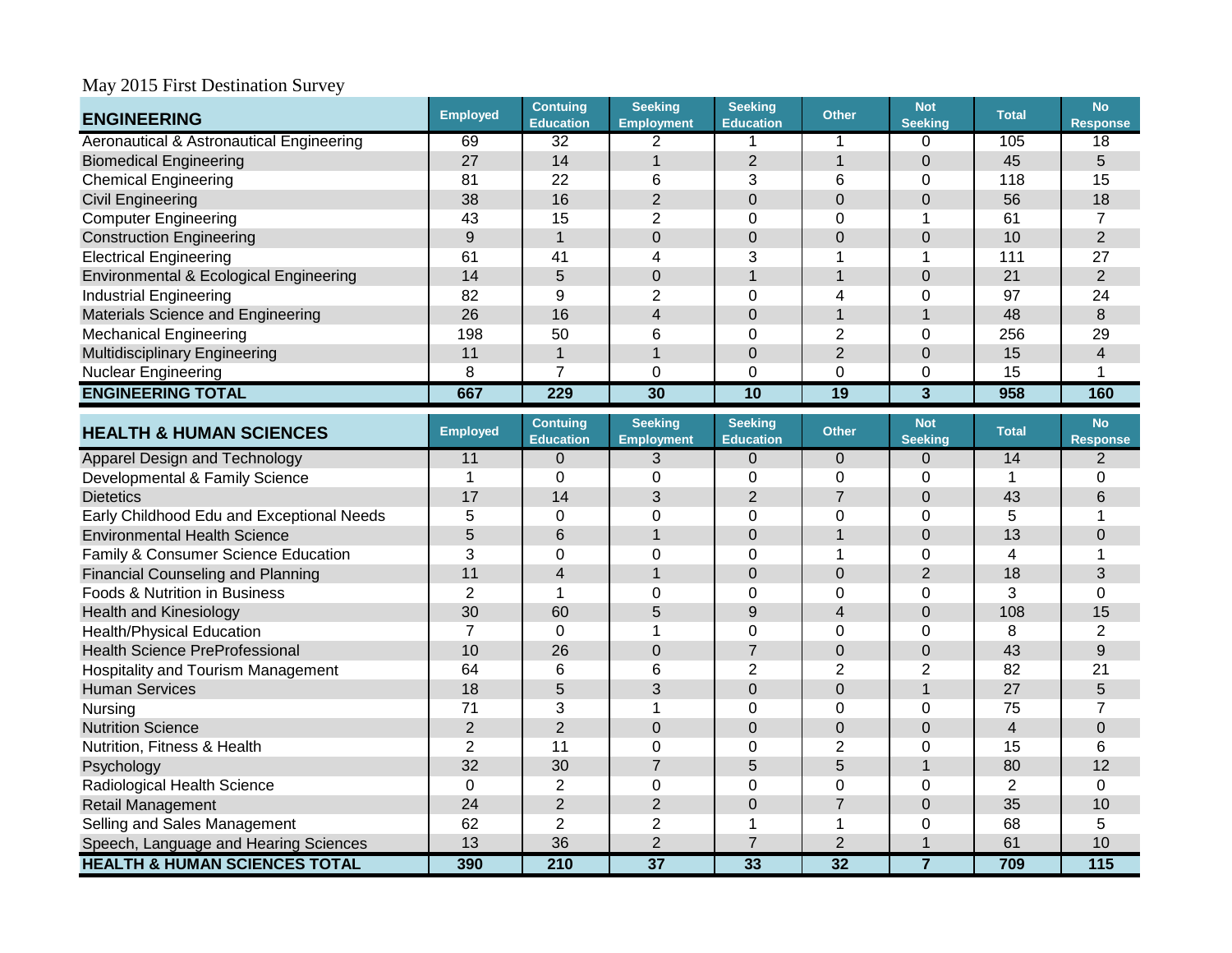| <b>ENGINEERING</b>                                  | <b>Employed</b> | <b>Contuing</b><br><b>Education</b> | <b>Seeking</b><br><b>Employment</b> | <b>Seeking</b><br><b>Education</b> | <b>Other</b>    | <b>Not</b><br><b>Seeking</b> | <b>Total</b>   | <b>No</b><br><b>Response</b> |
|-----------------------------------------------------|-----------------|-------------------------------------|-------------------------------------|------------------------------------|-----------------|------------------------------|----------------|------------------------------|
| <b>Aeronautical &amp; Astronautical Engineering</b> | 69              | $\overline{32}$                     | $\overline{2}$                      |                                    | 1               | 0                            | 105            | 18                           |
| <b>Biomedical Engineering</b>                       | 27              | 14                                  | $\mathbf{1}$                        | $\overline{2}$                     | $\overline{1}$  | $\overline{0}$               | 45             | 5                            |
| <b>Chemical Engineering</b>                         | 81              | 22                                  | 6                                   | 3                                  | 6               | 0                            | 118            | 15                           |
| <b>Civil Engineering</b>                            | 38              | 16                                  | $\overline{2}$                      | $\overline{0}$                     | $\mathbf 0$     | $\overline{0}$               | 56             | 18                           |
| <b>Computer Engineering</b>                         | 43              | 15                                  | $\overline{2}$                      | $\mathbf 0$                        | $\Omega$        | 1                            | 61             | $\overline{7}$               |
| <b>Construction Engineering</b>                     | 9               | 1                                   | $\mathbf 0$                         | $\mathbf 0$                        | $\mathbf 0$     | $\overline{0}$               | 10             | $\overline{2}$               |
| <b>Electrical Engineering</b>                       | 61              | 41                                  | $\overline{4}$                      | 3                                  | 1               | $\overline{\phantom{a}}$     | 111            | 27                           |
| Environmental & Ecological Engineering              | 14              | 5                                   | $\mathbf 0$                         | $\mathbf{1}$                       | $\mathbf{1}$    | $\mathbf 0$                  | 21             | $\overline{2}$               |
| <b>Industrial Engineering</b>                       | 82              | 9                                   | $\overline{2}$                      | $\Omega$                           | $\overline{4}$  | $\overline{0}$               | 97             | 24                           |
| Materials Science and Engineering                   | 26              | 16                                  | $\overline{4}$                      | $\mathbf 0$                        | $\mathbf{1}$    | $\overline{1}$               | 48             | 8                            |
| <b>Mechanical Engineering</b>                       | 198             | 50                                  | 6                                   | $\Omega$                           | $\overline{2}$  | $\mathbf 0$                  | 256            | 29                           |
| <b>Multidisciplinary Engineering</b>                | 11              | 1                                   | $\overline{1}$                      | $\mathbf 0$                        | $\overline{2}$  | $\overline{0}$               | 15             | $\overline{\mathbf{4}}$      |
| <b>Nuclear Engineering</b>                          | 8               | $\overline{7}$                      | 0                                   | $\mathbf 0$                        | $\Omega$        | $\Omega$                     | 15             | 1                            |
| <b>ENGINEERING TOTAL</b>                            | 667             | 229                                 | $\overline{30}$                     | $\overline{10}$                    | 19              | 3                            | 958            | 160                          |
| <b>HEALTH &amp; HUMAN SCIENCES</b>                  | Employed        | <b>Contuing</b><br><b>Education</b> | <b>Seeking</b><br><b>Employment</b> | <b>Seeking</b><br><b>Education</b> | <b>Other</b>    | <b>Not</b><br><b>Seeking</b> | <b>Total</b>   | <b>No</b><br><b>Response</b> |
| Apparel Design and Technology                       | 11              | $\Omega$                            | 3                                   | $\Omega$                           | $\mathbf 0$     | $\Omega$                     | 14             | 2                            |
| Developmental & Family Science                      | $\mathbf 1$     | $\Omega$                            | 0                                   | $\mathbf 0$                        | 0               | $\Omega$                     | 1              | 0                            |
| <b>Dietetics</b>                                    | 17              | 14                                  | 3                                   | $\overline{2}$                     | $\overline{7}$  | $\overline{0}$               | 43             | 6                            |
| Early Childhood Edu and Exceptional Needs           | 5               | $\Omega$                            | $\Omega$                            | $\Omega$                           | $\overline{0}$  | $\Omega$                     | 5              | 1                            |
| <b>Environmental Health Science</b>                 | 5               | 6                                   | $\overline{1}$                      | $\mathbf 0$                        | $\overline{1}$  | $\Omega$                     | 13             | $\mathbf 0$                  |
| Family & Consumer Science Education                 | $\overline{3}$  | 0                                   | 0                                   | $\mathbf 0$                        | 1               | $\mathbf 0$                  | 4              | 1                            |
| <b>Financial Counseling and Planning</b>            | 11              | $\overline{4}$                      | $\overline{1}$                      | $\mathbf 0$                        | $\mathbf 0$     | $\overline{2}$               | 18             | 3                            |
| <b>Foods &amp; Nutrition in Business</b>            | $\overline{2}$  | 1                                   | 0                                   | $\Omega$                           | 0               | $\mathbf 0$                  | 3              | $\overline{0}$               |
| <b>Health and Kinesiology</b>                       | 30              | 60                                  | 5                                   | 9                                  | $\overline{4}$  | $\mathbf 0$                  | 108            | 15                           |
| <b>Health/Physical Education</b>                    | $\overline{7}$  | $\mathbf 0$                         | 1                                   | $\mathbf 0$                        | 0               | $\mathbf 0$                  | 8              | $\overline{2}$               |
| <b>Health Science PreProfessional</b>               | 10              | 26                                  | $\overline{0}$                      | $\overline{7}$                     | $\overline{0}$  | $\Omega$                     | 43             | 9                            |
| Hospitality and Tourism Management                  | 64              | 6                                   | 6                                   | $\overline{2}$                     | $\overline{2}$  | $\overline{2}$               | 82             | 21                           |
| <b>Human Services</b>                               | 18              | 5                                   | 3                                   | $\mathbf 0$                        | $\mathsf 0$     | $\overline{1}$               | 27             | 5                            |
| Nursing                                             | 71              | 3                                   | $\mathbf{1}$                        | $\mathbf 0$                        | 0               | $\mathbf 0$                  | 75             | $\overline{7}$               |
| <b>Nutrition Science</b>                            | $\overline{2}$  | $\overline{2}$                      | $\mathbf 0$                         | $\mathbf 0$                        | $\overline{0}$  | $\overline{0}$               | $\overline{4}$ | $\overline{0}$               |
| Nutrition, Fitness & Health                         | $\overline{2}$  | 11                                  | $\overline{0}$                      | $\Omega$                           | $\overline{2}$  | $\overline{0}$               | 15             | 6                            |
| Psychology                                          | 32              | 30                                  | $\overline{7}$                      | 5                                  | 5               | $\overline{1}$               | 80             | 12                           |
| Radiological Health Science                         | $\mathbf 0$     | $\overline{2}$                      | $\mathbf 0$                         | $\mathbf 0$                        | $\overline{0}$  | $\overline{0}$               | $\overline{2}$ | 0                            |
| Retail Management                                   | 24              | $\overline{2}$                      | $\overline{2}$                      | $\overline{0}$                     | $\overline{7}$  | $\Omega$                     | 35             | 10                           |
| Selling and Sales Management                        | 62              | 2                                   | $\overline{2}$                      | 1                                  | 1               | $\Omega$                     | 68             | 5                            |
| Speech, Language and Hearing Sciences               | 13              | 36                                  | $\overline{2}$                      | $\overline{7}$                     | $\overline{2}$  | $\overline{\phantom{a}}$     | 61             | 10                           |
| <b>HEALTH &amp; HUMAN SCIENCES TOTAL</b>            | 390             | $\overline{210}$                    | $\overline{37}$                     | 33                                 | $\overline{32}$ | $\overline{7}$               | 709            | 115                          |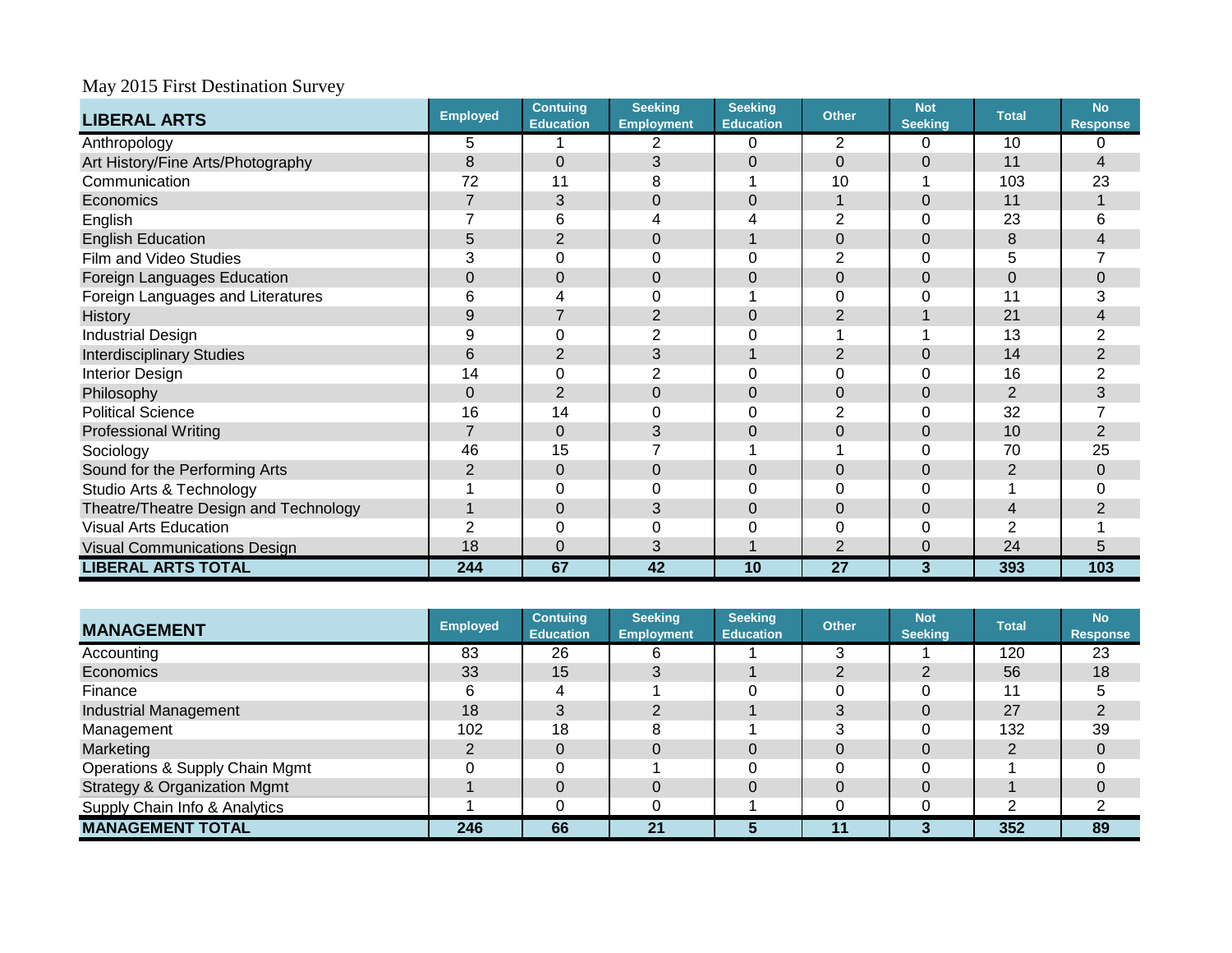| <b>LIBERAL ARTS</b>                   | <b>Employed</b> | <b>Contuing</b><br><b>Education</b> | <b>Seeking</b><br><b>Employment</b> | <b>Seeking</b><br><b>Education</b> | <b>Other</b>    | <b>Not</b><br><b>Seeking</b> | <b>Total</b>   | <b>No</b><br><b>Response</b> |
|---------------------------------------|-----------------|-------------------------------------|-------------------------------------|------------------------------------|-----------------|------------------------------|----------------|------------------------------|
| Anthropology                          | 5               |                                     | 2                                   | $\Omega$                           | $\overline{2}$  | 0                            | 10             |                              |
| Art History/Fine Arts/Photography     | 8               | 0                                   | 3                                   | $\mathbf 0$                        | $\Omega$        | $\Omega$                     | 11             | $\overline{4}$               |
| Communication                         | 72              | 11                                  | 8                                   |                                    | 10              |                              | 103            | 23                           |
| Economics                             | $\overline{7}$  | 3                                   | $\mathbf 0$                         | 0                                  |                 | $\Omega$                     | 11             |                              |
| English                               |                 | 6                                   |                                     |                                    | 2               | 0                            | 23             | 6                            |
| <b>English Education</b>              | 5               | $\overline{2}$                      | $\mathbf 0$                         |                                    | $\overline{0}$  | $\mathbf 0$                  | 8              | 4                            |
| Film and Video Studies                | 3               |                                     | 0                                   |                                    | 2               | 0                            | 5              |                              |
| Foreign Languages Education           | $\mathbf 0$     | 0                                   | 0                                   | 0                                  | 0               | $\mathbf 0$                  | $\overline{0}$ | 0                            |
| Foreign Languages and Literatures     | 6               |                                     | 0                                   |                                    | Ω               | $\Omega$                     | 11             | 3                            |
| <b>History</b>                        | 9               |                                     | $\overline{2}$                      | 0                                  | 2               |                              | 21             | 4                            |
| <b>Industrial Design</b>              | 9               | 0                                   | $\overline{2}$                      | 0                                  |                 |                              | 13             | $\overline{2}$               |
| <b>Interdisciplinary Studies</b>      | 6               | 2                                   | 3                                   |                                    | 2               | $\Omega$                     | 14             | $\overline{2}$               |
| <b>Interior Design</b>                | 14              | 0                                   | $\overline{2}$                      | 0                                  | Ω               | 0                            | 16             | $\overline{2}$               |
| Philosophy                            | 0               | $\overline{2}$                      | $\mathbf 0$                         | 0                                  | 0               | $\overline{0}$               | $\overline{2}$ | 3                            |
| <b>Political Science</b>              | 16              | 14                                  | 0                                   | 0                                  | 2               | 0                            | 32             |                              |
| <b>Professional Writing</b>           | $\overline{7}$  | $\mathbf{0}$                        | 3                                   | 0                                  | 0               | $\overline{0}$               | 10             | $\overline{2}$               |
| Sociology                             | 46              | 15                                  |                                     |                                    |                 | 0                            | 70             | 25                           |
| Sound for the Performing Arts         | 2               | $\mathbf{0}$                        | 0                                   | 0                                  | $\Omega$        | $\Omega$                     | $\overline{2}$ | $\mathbf 0$                  |
| Studio Arts & Technology              |                 | 0                                   | 0                                   | 0                                  | Ω               | 0                            |                | 0                            |
| Theatre/Theatre Design and Technology |                 | 0                                   | 3                                   | 0                                  | 0               | $\overline{0}$               | 4              | 2                            |
| <b>Visual Arts Education</b>          | 2               | 0                                   | 0                                   | 0                                  | 0               | 0                            | 2              |                              |
| <b>Visual Communications Design</b>   | 18              | $\overline{0}$                      | 3                                   |                                    | 2               | 0                            | 24             | 5                            |
| <b>LIBERAL ARTS TOTAL</b>             | 244             | 67                                  | 42                                  | 10                                 | $\overline{27}$ | 3                            | 393            | 103                          |

| <b>MANAGEMENT</b>                         | <b>Employed</b> | <b>Contuing</b><br><b>Education</b> | <b>Seeking</b><br><b>Employment</b> | <b>Seeking</b><br><b>Education</b> | <b>Other</b> | <b>Not</b><br><b>Seeking</b> | <b>Total</b> | <b>No</b><br><b>Response</b> |
|-------------------------------------------|-----------------|-------------------------------------|-------------------------------------|------------------------------------|--------------|------------------------------|--------------|------------------------------|
| Accounting                                | 83              | 26                                  | 6                                   |                                    |              |                              | 120          | 23                           |
| Economics                                 | 33              | 15                                  |                                     |                                    |              |                              | 56           | 18                           |
| Finance                                   | 6               |                                     |                                     |                                    |              |                              | 11           |                              |
| Industrial Management                     | 18              |                                     |                                     |                                    |              |                              | 27           |                              |
| Management                                | 102             | 18                                  |                                     |                                    | ົ            |                              | 132          | 39                           |
| Marketing                                 |                 |                                     |                                     |                                    |              |                              |              |                              |
| <b>Operations &amp; Supply Chain Mgmt</b> |                 |                                     |                                     |                                    |              |                              |              |                              |
| <b>Strategy &amp; Organization Mgmt</b>   |                 |                                     |                                     |                                    |              |                              |              |                              |
| Supply Chain Info & Analytics             |                 |                                     |                                     |                                    |              |                              | c            |                              |
| <b>MANAGEMENT TOTAL</b>                   | 246             | 66                                  | 21                                  | 5                                  | 11           |                              | 352          | 89                           |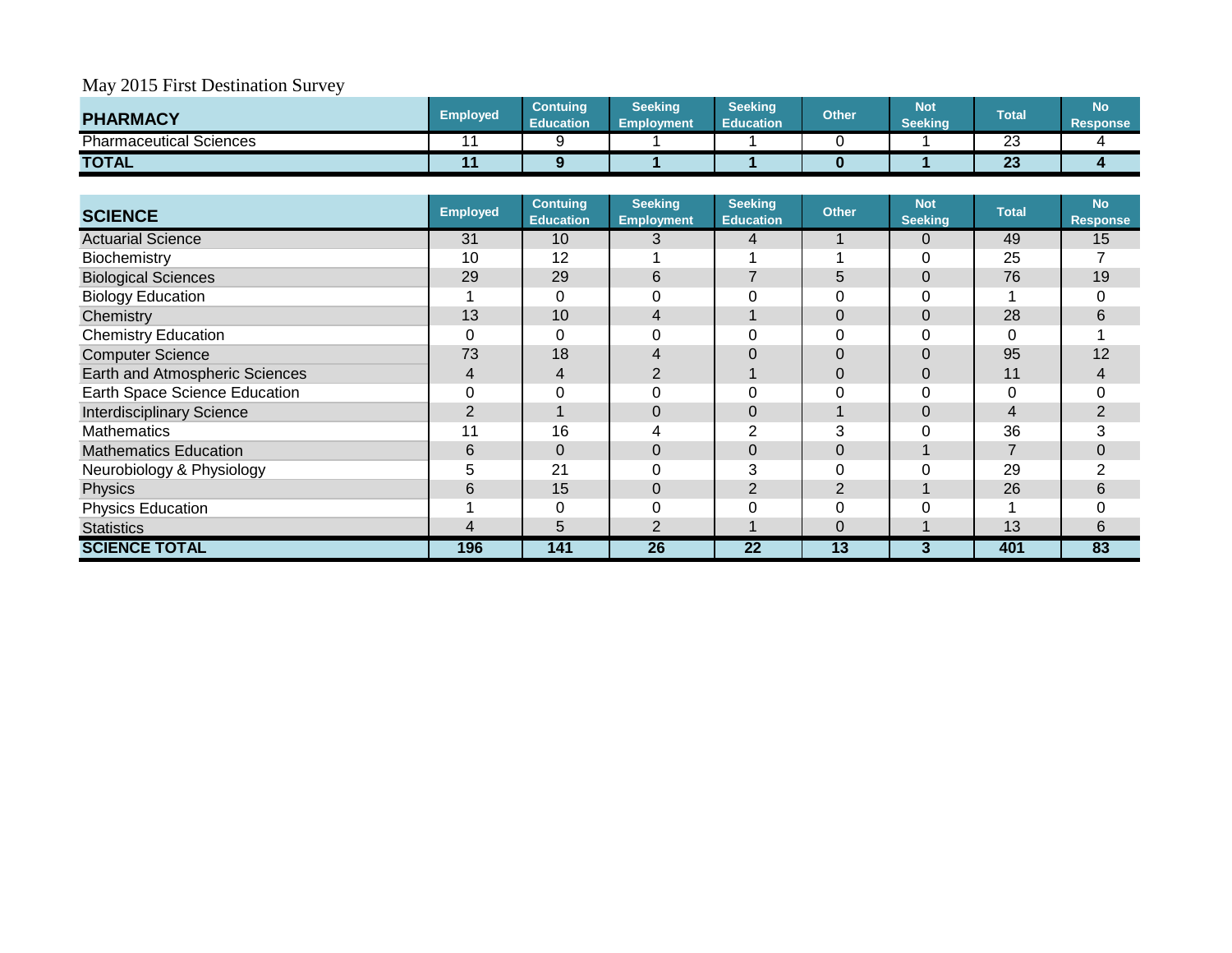| <b>PHARMACY</b>              | <b>Employed</b> | <b>Contuing</b><br><b>Education</b> | <b>Seeking</b><br><b>Employment</b> | <b>Seeking</b><br><b>Education</b> | <b>Other</b> | <b>Not</b><br>Seeking | <b>Total</b> | <b>No</b><br><b>Response</b> |
|------------------------------|-----------------|-------------------------------------|-------------------------------------|------------------------------------|--------------|-----------------------|--------------|------------------------------|
| Pharmaceutical<br>l Sciences |                 |                                     |                                     |                                    |              |                       | ົ<br>دے      |                              |
| <b>TOTAL</b>                 |                 |                                     |                                     |                                    |              |                       | $\sim$<br>ΖJ |                              |

| <b>SCIENCE</b>                   | <b>Employed</b> | <b>Contuing</b><br><b>Education</b> | <b>Seeking</b><br><b>Employment</b> | <b>Seeking</b><br><b>Education</b> | <b>Other</b>   | <b>Not</b><br><b>Seeking</b> | <b>Total</b> | <b>No</b><br><b>Response</b> |
|----------------------------------|-----------------|-------------------------------------|-------------------------------------|------------------------------------|----------------|------------------------------|--------------|------------------------------|
| <b>Actuarial Science</b>         | 31              | 10 <sup>°</sup>                     | 3                                   | 4                                  |                | $\overline{0}$               | 49           | 15                           |
| <b>Biochemistry</b>              | 10              | 12                                  |                                     |                                    |                |                              | 25           |                              |
| <b>Biological Sciences</b>       | 29              | 29                                  | 6                                   |                                    | 5              | 0                            | 76           | 19                           |
| <b>Biology Education</b>         |                 |                                     |                                     |                                    |                |                              |              | 0                            |
| Chemistry                        | 13              | 10                                  | 4                                   |                                    | $\Omega$       | $\Omega$                     | 28           | 6                            |
| <b>Chemistry Education</b>       |                 | 0                                   |                                     |                                    | $\Omega$       |                              |              |                              |
| <b>Computer Science</b>          | 73              | 18                                  | 4                                   |                                    | $\Omega$       |                              | 95           | 12                           |
| Earth and Atmospheric Sciences   | 4               | 4                                   | 2                                   |                                    | $\Omega$       |                              | 11           |                              |
| Earth Space Science Education    |                 | 0                                   |                                     |                                    | $\Omega$       |                              |              | 0                            |
| <b>Interdisciplinary Science</b> | 2               |                                     | $\Omega$                            | $\Omega$                           |                | $\Omega$                     | 4            | $\overline{2}$               |
| <b>Mathematics</b>               | 11              | 16                                  | 4                                   |                                    | 3              |                              | 36           | 3                            |
| <b>Mathematics Education</b>     | 6               | 0                                   | $\Omega$                            | 0                                  | $\Omega$       |                              |              | 0                            |
| Neurobiology & Physiology        | 5               | 21                                  |                                     | 3                                  | $\Omega$       |                              | 29           | 2                            |
| Physics                          | 6               | 15                                  | $\Omega$                            | 2                                  | $\overline{2}$ |                              | 26           | 6                            |
| <b>Physics Education</b>         |                 | 0                                   |                                     | 0                                  | $\Omega$       |                              |              | 0                            |
| <b>Statistics</b>                | 4               | 5                                   | 2                                   |                                    | $\Omega$       |                              | 13           | 6                            |
| <b>SCIENCE TOTAL</b>             | 196             | 141                                 | 26                                  | 22                                 | 13             | 3                            | 401          | 83                           |